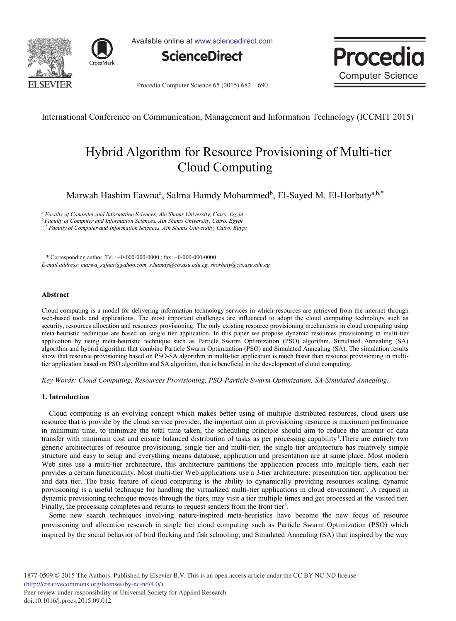



Available online at www.sciencedirect.com





Procedia Computer Science 65 (2015) 682 - 690

International Conference on Communication, Management and Information Technology (ICCMIT 2015)

# Hybrid Algorithm for Resource Provisioning of Multi-tier Cloud Computing

Marwah Hashim Eawna<sup>a</sup>, Salma Hamdy Mohammed<sup>b</sup>, El-Sayed M. El-Horbaty<sup>a,b,\*</sup>

*<sup>a</sup> Faculty of Computer and Information Sciences, Ain Shams University, Cairo, Egypt*

*b Faculty of Computer and Information Sciences, Ain Shams University, Cairo, Egypt*

*ab\* Faculty of Computer and Information Sciences, Ain Shams University, Cairo, Egypt*

\* Corresponding author. Tel.: +0-000-000-0000 ; fax: +0-000-000-0000 . *E-mail address: marwa\_safaar@yahoo.com, s.hamdy@cis.asu.edu.eg, shorbaty@cis.asu.edu.eg*

### **Abstract**

Cloud computing is a model for delivering information technology services in which resources are retrieved from the internet through web-based tools and applications. The most important challenges are influenced to adopt the cloud computing technology such as security, resources allocation and resources provisioning. The only existing resource provisioning mechanisms in cloud computing using meta-heuristic technique are based on single tier application. In this paper we propose dynamic resources provisioning in multi-tier application by using meta-heuristic technique such as Particle Swarm Optimization (PSO) algorithm, Simulated Annealing (SA) algorithm and hybrid algorithm that combine Particle Swarm Optimization (PSO) and Simulated Annealing (SA). The simulation results show that resource provisioning based on PSO-SA algorithm in multi-tier application is much faster than resource provisioning in multitier application based on PSO algorithm and SA algorithm, that is beneficial in the development of cloud computing.

*Key Words: Cloud Computing, Resources Provisioning, PSO-Particle Swarm Optimization, SA-Simulated Annealing.*

#### **1. Introduction**

 Cloud computing is an evolving concept which makes better using of multiple distributed resources, cloud users use resource that is provide by the cloud service provider, the important aim in provisioning resource is maximum performance in minimum time, to minimize the total time taken, the scheduling principle should aim to reduce the amount of data transfer with minimum cost and ensure balanced distribution of tasks as per processing capability<sup>1</sup>. There are entirely two generic architectures of resource provisioning, single tier and multi-tier, the single tier architecture has relatively simple structure and easy to setup and everything means database, application and presentation are at same place. Most modern Web sites use a multi-tier architecture, this architecture partitions the application process into multiple tiers, each tier provides a certain functionality. Most multi-tier Web applications use a 3-tier architecture: presentation tier, application tier and data tier. The basic feature of cloud computing is the ability to dynamically providing resources scaling, dynamic provisioning is a useful technique for handling the virtualized multi-tier applications in cloud environment<sup>2</sup>. A request in dynamic provisioning technique moves through the tiers, may visit a tier multiple times and get processed at the visited tier. Finally, the processing completes and returns to request senders from the front tier<sup>3</sup>.

 Some new search techniques involving nature-inspired meta-heuristics have become the new focus of resource provisioning and allocation research in single tier cloud computing such as Particle Swarm Optimization (PSO) which inspired by the social behavior of bird flocking and fish schooling, and Simulated Annealing (SA) that inspired by the way

1877-0509 © 2015 The Authors. Published by Elsevier B.V. This is an open access article under the CC BY-NC-ND license (http://creativecommons.org/licenses/by-nc-nd/4.0/). Peer-review under responsibility of Universal Society for Applied Research doi: 10.1016/j.procs.2015.09.012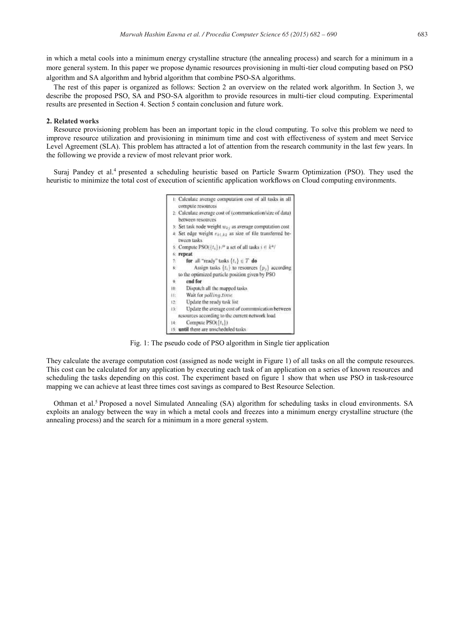in which a metal cools into a minimum energy crystalline structure (the annealing process) and search for a minimum in a more general system. In this paper we propose dynamic resources provisioning in multi-tier cloud computing based on PSO algorithm and SA algorithm and hybrid algorithm that combine PSO-SA algorithms.

 The rest of this paper is organized as follows: Section 2 an overview on the related work algorithm. In Section 3, we describe the proposed PSO, SA and PSO-SA algorithm to provide resources in multi-tier cloud computing. Experimental results are presented in Section 4. Section 5 contain conclusion and future work.

# **2. Related works**

Resource provisioning problem has been an important topic in the cloud computing. To solve this problem we need to improve resource utilization and provisioning in minimum time and cost with effectiveness of system and meet Service Level Agreement (SLA). This problem has attracted a lot of attention from the research community in the last few years. In the following we provide a review of most relevant prior work.

Suraj Pandey et al.<sup>4</sup> presented a scheduling heuristic based on Particle Swarm Optimization (PSO). They used the heuristic to minimize the total cost of execution of scientific application workflows on Cloud computing environments.



Fig. 1: The pseudo code of PSO algorithm in Single tier application

They calculate the average computation cost (assigned as node weight in Figure 1) of all tasks on all the compute resources. This cost can be calculated for any application by executing each task of an application on a series of known resources and scheduling the tasks depending on this cost. The experiment based on figure 1 show that when use PSO in task-resource mapping we can achieve at least three times cost savings as compared to Best Resource Selection.

Othman et al.<sup>5</sup> Proposed a novel Simulated Annealing (SA) algorithm for scheduling tasks in cloud environments. SA exploits an analogy between the way in which a metal cools and freezes into a minimum energy crystalline structure (the annealing process) and the search for a minimum in a more general system.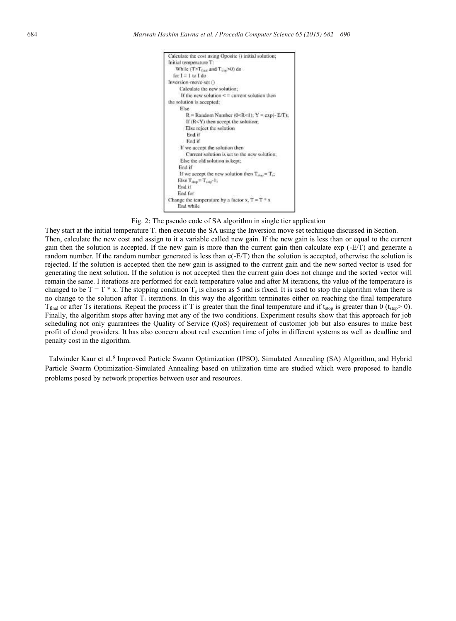

Fig. 2: The pseudo code of SA algorithm in single tier application

They start at the initial temperature T. then execute the SA using the Inversion move set technique discussed in Section. Then, calculate the new cost and assign to it a variable called new gain. If the new gain is less than or equal to the current gain then the solution is accepted. If the new gain is more than the current gain then calculate exp (-E/T) and generate a random number. If the random number generated is less than e(-E/T) then the solution is accepted, otherwise the solution is rejected. If the solution is accepted then the new gain is assigned to the current gain and the new sorted vector is used for generating the next solution. If the solution is not accepted then the current gain does not change and the sorted vector will remain the same. I iterations are performed for each temperature value and after M iterations, the value of the temperature is changed to be  $T = T * x$ . The stopping condition  $T_s$  is chosen as 5 and is fixed. It is used to stop the algorithm when there is no change to the solution after  $T_s$  iterations. In this way the algorithm terminates either on reaching the final temperature  $T_{final}$  or after Ts iterations. Repeat the process if T is greater than the final temperature and if t<sub>stop</sub> is greater than 0 ( $t_{stop}$  > 0). Finally, the algorithm stops after having met any of the two conditions. Experiment results show that this approach for job scheduling not only guarantees the Quality of Service (QoS) requirement of customer job but also ensures to make best profit of cloud providers. It has also concern about real execution time of jobs in different systems as well as deadline and penalty cost in the algorithm.

 Talwinder Kaur et al.<sup>6</sup> Improved Particle Swarm Optimization (IPSO), Simulated Annealing (SA) Algorithm, and Hybrid Particle Swarm Optimization-Simulated Annealing based on utilization time are studied which were proposed to handle problems posed by network properties between user and resources.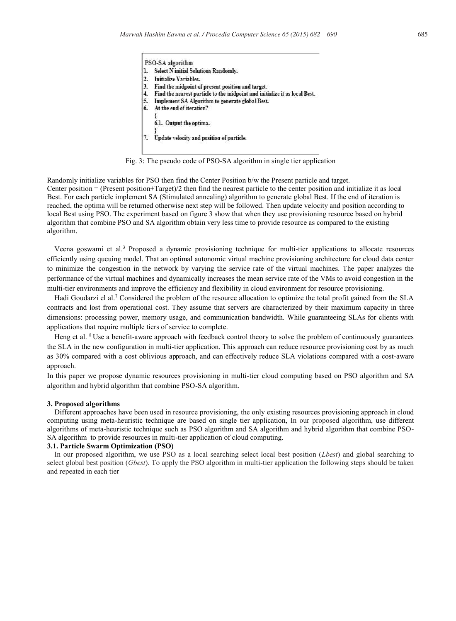

Fig. 3: The pseudo code of PSO-SA algorithm in single tier application

Randomly initialize variables for PSO then find the Center Position b/w the Present particle and target. Center position = (Present position+Target)/2 then find the nearest particle to the center position and initialize it as local Best. For each particle implement SA (Stimulated annealing) algorithm to generate global Best. If the end of iteration is reached, the optima will be returned otherwise next step will be followed. Then update velocity and position according to local Best using PSO. The experiment based on figure 3 show that when they use provisioning resource based on hybrid algorithm that combine PSO and SA algorithm obtain very less time to provide resource as compared to the existing algorithm.

 Veena goswami et al.<sup>3</sup> Proposed a dynamic provisioning technique for multi-tier applications to allocate resources efficiently using queuing model. That an optimal autonomic virtual machine provisioning architecture for cloud data center to minimize the congestion in the network by varying the service rate of the virtual machines. The paper analyzes the performance of the virtual machines and dynamically increases the mean service rate of the VMs to avoid congestion in the multi-tier environments and improve the efficiency and flexibility in cloud environment for resource provisioning.

 Hadi Goudarzi el al.<sup>7</sup> Considered the problem of the resource allocation to optimize the total profit gained from the SLA contracts and lost from operational cost. They assume that servers are characterized by their maximum capacity in three dimensions: processing power, memory usage, and communication bandwidth. While guaranteeing SLAs for clients with applications that require multiple tiers of service to complete.

Heng et al. <sup>8</sup>Use a benefit-aware approach with feedback control theory to solve the problem of continuously guarantees the SLA in the new configuration in multi-tier application. This approach can reduce resource provisioning cost by as much as 30% compared with a cost oblivious approach, and can effectively reduce SLA violations compared with a cost-aware approach.

In this paper we propose dynamic resources provisioning in multi-tier cloud computing based on PSO algorithm and SA algorithm and hybrid algorithm that combine PSO-SA algorithm.

#### **3. Proposed algorithms**

 Different approaches have been used in resource provisioning, the only existing resources provisioning approach in cloud computing using meta-heuristic technique are based on single tier application, In our proposed algorithm, use different algorithms of meta-heuristic technique such as PSO algorithm and SA algorithm and hybrid algorithm that combine PSO-SA algorithm to provide resources in multi-tier application of cloud computing.

#### **3.1. Particle Swarm Optimization (PSO)**

 In our proposed algorithm, we use PSO as a local searching select local best position (*Lbest*) and global searching to select global best position (*Gbest*). To apply the PSO algorithm in multi-tier application the following steps should be taken and repeated in each tier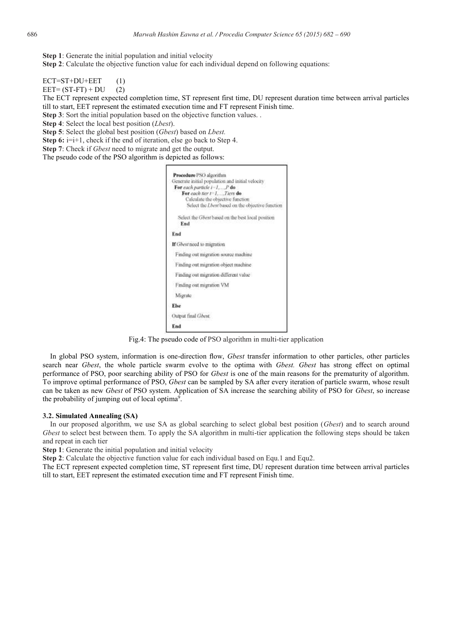**Step 1**: Generate the initial population and initial velocity

**Step 2**: Calculate the objective function value for each individual depend on following equations:

 $ECT = ST + DU + EET$  (1)

 $EET=(ST-FT) + DU$  (2)

The ECT represent expected completion time, ST represent first time, DU represent duration time between arrival particles till to start, EET represent the estimated execution time and FT represent Finish time.

**Step 3**: Sort the initial population based on the objective function values. .

**Step 4**: Select the local best position (*Lbest*).

**Step 5**: Select the global best position (*Gbest*) based on *Lbest.*

**Step 6:** i=i+1, check if the end of iteration, else go back to Step 4.

**Step 7**: Check if *Gbest* need to migrate and get the output.

The pseudo code of the PSO algorithm is depicted as follows:

| Procedure PSO algorithm                          |                                                   |
|--------------------------------------------------|---------------------------------------------------|
| Generate initial population and initial velocity |                                                   |
| For each particle 1-1, P do                      |                                                   |
| For each tier $t = 1, \ldots, T$ lers do         |                                                   |
| Calculate the objective function                 |                                                   |
|                                                  | Select the Lbest based on the objective function  |
|                                                  | Select the Ghest based on the best local position |
| End                                              |                                                   |
| End                                              |                                                   |
| If Gbest need to migration                       |                                                   |
| Finding out migration source machine             |                                                   |
| Finding out migration object machine             |                                                   |
| Finding out migration different value            |                                                   |
| Finding out migration VM                         |                                                   |
| Migrate                                          |                                                   |
| Else                                             |                                                   |
| Output final Ghest.                              |                                                   |
| End                                              |                                                   |

Fig.4: The pseudo code of PSO algorithm in multi-tier application

 In global PSO system, information is one-direction flow, *Gbest* transfer information to other particles, other particles search near *Gbest*, the whole particle swarm evolve to the optima with *Gbest. Gbest* has strong effect on optimal performance of PSO, poor searching ability of PSO for *Gbest* is one of the main reasons for the prematurity of algorithm. To improve optimal performance of PSO, *Gbest* can be sampled by SA after every iteration of particle swarm, whose result can be taken as new *Gbest* of PSO system. Application of SA increase the searching ability of PSO for *Gbest*, so increase the probability of jumping out of local optima<sup>9</sup>.

#### **3.2. Simulated Annealing (SA)**

 In our proposed algorithm, we use SA as global searching to select global best position (*Gbest*) and to search around *Gbest* to select best between them. To apply the SA algorithm in multi-tier application the following steps should be taken and repeat in each tier

**Step 1**: Generate the initial population and initial velocity

**Step 2**: Calculate the objective function value for each individual based on Equ.1 and Equ2.

The ECT represent expected completion time, ST represent first time, DU represent duration time between arrival particles till to start, EET represent the estimated execution time and FT represent Finish time.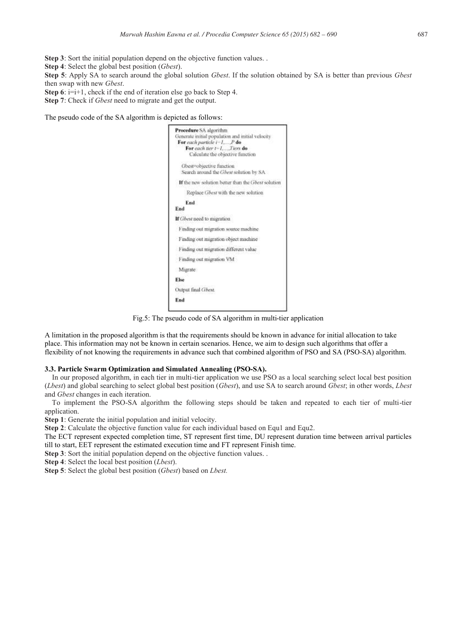**Step 3**: Sort the initial population depend on the objective function values.

**Step 4**: Select the global best position (*Gbest*).

**Step 5**: Apply SA to search around the global solution *Gbest*. If the solution obtained by SA is better than previous *Gbest* then swap with new *Gbest*.

**Step 6**:  $i=i+1$ , check if the end of iteration else go back to Step 4.

**Step 7**: Check if *Gbest* need to migrate and get the output.

The pseudo code of the SA algorithm is depicted as follows:

|      | Procedure SA algorithm<br>Generate initial population and initial velocity<br>For each particle $i-1, \ldots, P$ do<br>For each tier $t-1, \ldots, T$ iers do<br>Calculate the objective function |
|------|---------------------------------------------------------------------------------------------------------------------------------------------------------------------------------------------------|
|      | Gbest=objective function<br>Search around the Ghest solution by SA                                                                                                                                |
|      | If the new solution better than the Gbest solution                                                                                                                                                |
|      | Replace Gbest with the new solution                                                                                                                                                               |
| End  | End                                                                                                                                                                                               |
|      | If Gbest need to migration                                                                                                                                                                        |
|      | Finding out migration source machine                                                                                                                                                              |
|      | Finding out migration object machine                                                                                                                                                              |
|      | Finding out migration different value                                                                                                                                                             |
|      | Finding out migration VM                                                                                                                                                                          |
|      | Migrate                                                                                                                                                                                           |
| Else |                                                                                                                                                                                                   |
|      | Output final Gbest.                                                                                                                                                                               |
| End  |                                                                                                                                                                                                   |

Fig.5: The pseudo code of SA algorithm in multi-tier application

A limitation in the proposed algorithm is that the requirements should be known in advance for initial allocation to take place. This information may not be known in certain scenarios. Hence, we aim to design such algorithms that offer a flexibility of not knowing the requirements in advance such that combined algorithm of PSO and SA (PSO-SA) algorithm.

# **3.3. Particle Swarm Optimization and Simulated Annealing (PSO-SA).**

 In our proposed algorithm, in each tier in multi-tier application we use PSO as a local searching select local best position (*Lbest*) and global searching to select global best position (*Gbest*), and use SA to search around *Gbest*; in other words, *Lbest* and *Gbest* changes in each iteration.

 To implement the PSO-SA algorithm the following steps should be taken and repeated to each tier of multi-tier application.

**Step 1**: Generate the initial population and initial velocity.

**Step 2**: Calculate the objective function value for each individual based on Equ1 and Equ2.

The ECT represent expected completion time, ST represent first time, DU represent duration time between arrival particles till to start, EET represent the estimated execution time and FT represent Finish time.

**Step 3**: Sort the initial population depend on the objective function values. .

**Step 4**: Select the local best position (*Lbest*).

**Step 5**: Select the global best position (*Gbest*) based on *Lbest.*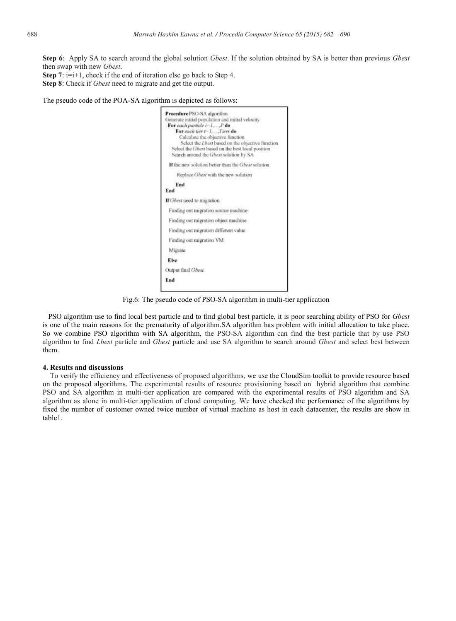**Step 6**: Apply SA to search around the global solution *Gbest*. If the solution obtained by SA is better than previous *Gbest* then swap with new *Gbest*.

**Step 7**:  $i=i+1$ , check if the end of iteration else go back to Step 4. **Step 8**: Check if *Gbest* need to migrate and get the output.

The pseudo code of the POA-SA algorithm is depicted as follows:



Fig.6: The pseudo code of PSO-SA algorithm in multi-tier application

 PSO algorithm use to find local best particle and to find global best particle, it is poor searching ability of PSO for *Gbest*  is one of the main reasons for the prematurity of algorithm.SA algorithm has problem with initial allocation to take place. So we combine PSO algorithm with SA algorithm, the PSO-SA algorithm can find the best particle that by use PSO algorithm to find *Lbest* particle and *Gbest* particle and use SA algorithm to search around *Gbest* and select best between them.

#### **4. Results and discussions**

 To verify the efficiency and effectiveness of proposed algorithms, we use the CloudSim toolkit to provide resource based on the proposed algorithms. The experimental results of resource provisioning based on hybrid algorithm that combine PSO and SA algorithm in multi-tier application are compared with the experimental results of PSO algorithm and SA algorithm as alone in multi-tier application of cloud computing. We have checked the performance of the algorithms by fixed the number of customer owned twice number of virtual machine as host in each datacenter, the results are show in table1.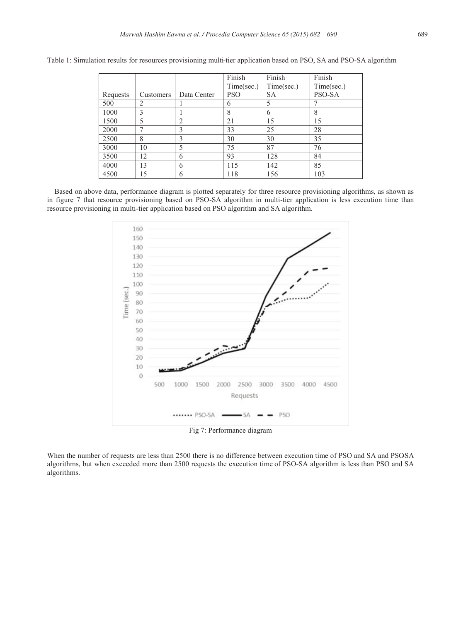|          |                |             | Finish     | Finish     | Finish     |
|----------|----------------|-------------|------------|------------|------------|
|          |                |             | Time/sec.) | Time(sec.) | Time(sec.) |
| Requests | Customers      | Data Center | <b>PSO</b> | <b>SA</b>  | PSO-SA     |
| 500      | $\mathfrak{D}$ |             | 6          | 5          |            |
| 1000     | $\mathcal{E}$  |             | 8          | 6          |            |
| 1500     | 5              |             | 21         | 15         | 15         |
| 2000     |                |             | 33         | 25         | 28         |
| 2500     | 8              |             | 30         | 30         | 35         |
| 3000     | 10             |             | 75         | 87         | 76         |
| 3500     | 12             | 6           | 93         | 128        | 84         |
| 4000     | 13             | 6           | 115        | 142        | 85         |
| 4500     | 15             | 6           | 118        | 156        | 103        |

Table 1: Simulation results for resources provisioning multi-tier application based on PSO, SA and PSO-SA algorithm

 Based on above data, performance diagram is plotted separately for three resource provisioning algorithms, as shown as in figure 7 that resource provisioning based on PSO-SA algorithm in multi-tier application is less execution time than resource provisioning in multi-tier application based on PSO algorithm and SA algorithm.



When the number of requests are less than 2500 there is no difference between execution time of PSO and SA and PSOSA algorithms, but when exceeded more than 2500 requests the execution time of PSO-SA algorithm is less than PSO and SA algorithms.